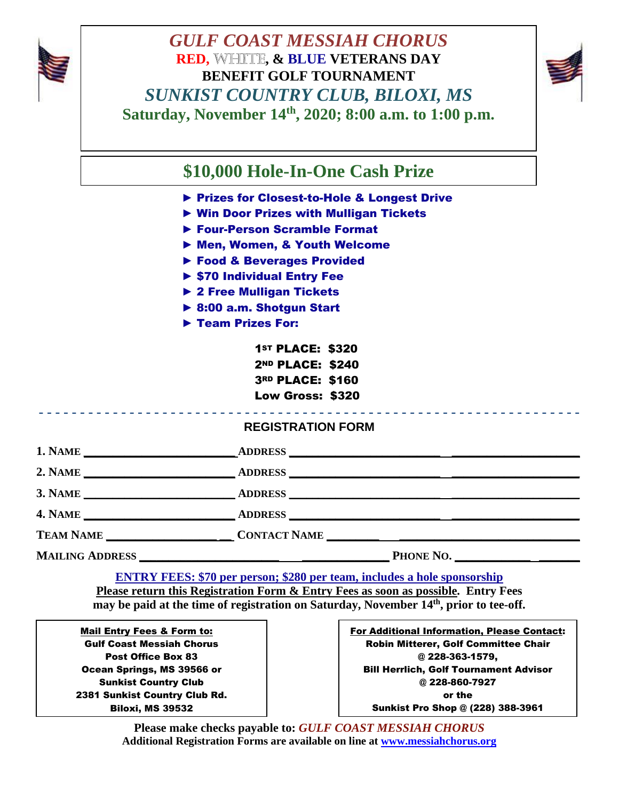

## *GULF COAST MESSIAH CHORUS GULF COAST MESSIAH CHORUS* **RED, WHITE, & BLUE VETERANS DAY RENEFIT GOLF TOURNAMENT** *SUNKIST COUNTRY CLUB, BILOXI, MS* **Saturday, November 14th, 2020; 8:00 a.m. to 1:00 p.m.**



**\$10,000 Hole-In-One Cash Prize** 

- ► Prizes for Closest-to-Hole & Longest Drive
- ► Win Door Prizes with Mulligan Tickets
- ► Four-Person Scramble Format
- ► Men, Women, & Youth Welcome
- ► Food & Beverages Provided
- ► \$70 Individual Entry Fee
- ► 2 Free Mulligan Tickets
- ► 8:00 a.m. Shotgun Start
- ► Team Prizes For:

ST PLACE: \$320 ND PLACE: \$240 RD PLACE: \$160 Low Gross: \$320

| <b>REGISTRATION FORM</b> |  |  |
|--------------------------|--|--|

|  | <br> |  |
|--|------|--|
|  |      |  |
|  |      |  |
|  |      |  |
|  |      |  |
|  |      |  |
|  |      |  |
|  |      |  |
|  |      |  |
|  |      |  |
|  |      |  |
|  |      |  |
|  |      |  |
|  |      |  |
|  |      |  |

| $M^{\tau}$<br>N A<br>1. гучине<br>the contract of the contract of the contract of the contract of the contract of the contract of the contract of | . DDDECC<br>טכונותו |  |
|---------------------------------------------------------------------------------------------------------------------------------------------------|---------------------|--|
|                                                                                                                                                   |                     |  |

- **2. NAME \_\_\_\_\_\_\_\_\_\_\_\_\_\_\_\_\_\_\_\_\_\_\_\_\_\_ ADDRESS \_\_\_\_\_\_\_\_\_\_\_\_\_\_\_\_\_\_\_\_\_\_\_\_\_\_ \_\_\_\_\_\_\_\_\_\_\_\_\_\_\_\_\_\_\_\_\_\_**
- **3. NAME \_\_\_\_\_\_\_\_\_\_\_\_\_\_\_\_\_\_\_\_\_\_\_\_\_\_ ADDRESS \_\_\_\_\_\_\_\_\_\_\_\_\_\_\_\_\_\_\_\_\_\_\_\_\_\_ \_\_\_\_\_\_\_\_\_\_\_\_\_\_\_\_\_\_\_\_\_\_**

**4. NAME \_\_\_\_\_\_\_\_\_\_\_\_\_\_\_\_\_\_\_\_\_\_\_\_\_\_ ADDRESS \_\_\_\_\_\_\_\_\_\_\_\_\_\_\_\_\_\_\_\_\_\_\_\_\_\_ \_\_\_\_\_\_\_\_\_\_\_\_\_\_\_\_\_\_\_\_\_\_**

**TEAM NAME \_\_\_\_\_\_\_\_\_\_\_\_\_\_\_\_\_\_\_ \_\_ CONTACT NAME \_\_\_\_\_\_\_\_\_ \_\_\_\_\_\_\_\_\_\_\_\_\_\_\_\_\_\_\_\_\_\_\_\_\_\_\_\_\_\_\_** 

**MAILING ADDRESS \_\_\_\_\_\_\_\_\_\_\_\_\_\_\_\_\_\_\_\_\_\_\_\_ \_\_\_\_\_\_\_\_\_\_\_\_\_\_\_ PHONE NO. \_\_\_\_\_\_\_\_\_\_\_\_\_ \_\_\_\_\_\_\_**

**ENTRY FEES: \$70 per person; \$280 per team, includes a hole sponsorship Please return this Registration Form & Entry Fees as soon as possible. Entry Fees may be paid at the time of registration on Saturday, November 14th , prior to tee-off.**

Mail Entry Fees & Form to: Gulf Coast Messiah Chorus Post Office Box 83 Ocean Springs, MS 39566 or Sunkist Country Club 2381 Sunkist Country Club Rd. Biloxi, MS 39532

For Additional Information, Please Contact: Robin Mitterer, Golf Committee Chair @ 228-363-1579, Bill Herrlich, Golf Tournament Advisor @ 228-860-7927 or the Sunkist Pro Shop @ (228) 388-3961

**Please make checks payable to:** *GULF COAST MESSIAH CHORUS* **Additional Registration Forms are available on line at [www.messiahchorus.org](http://www.messiahchorus.org/)**